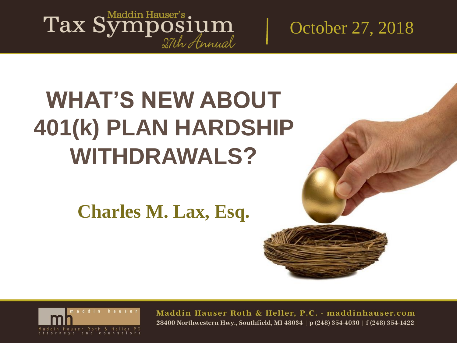Tax Symposium

October 27, 2018

## **WHAT'S NEW ABOUT 401(k) PLAN HARDSHIP WITHDRAWALS?**

**Charles M. Lax, Esq.** 

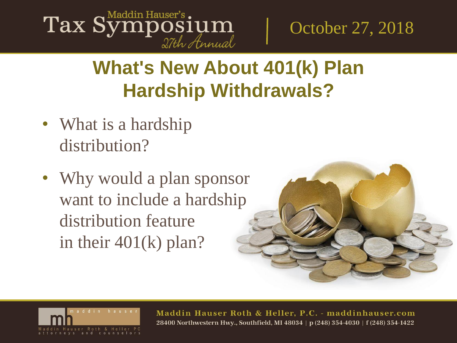

## **What's New About 401(k) Plan Hardship Withdrawals?**

- What is a hardship distribution?
- Why would a plan sponsor want to include a hardship distribution feature in their 401(k) plan?



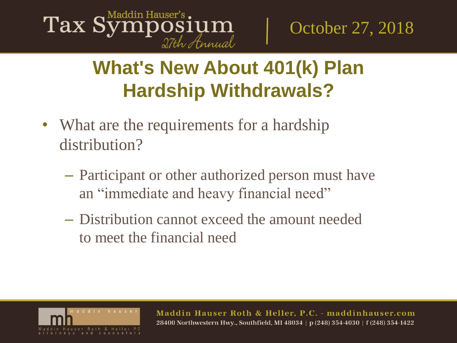

## **What's New About 401(k) Plan Hardship Withdrawals?**

- What are the requirements for a hardship distribution?
	- Participant or other authorized person must have an "immediate and heavy financial need"
	- Distribution cannot exceed the amount needed to meet the financial need

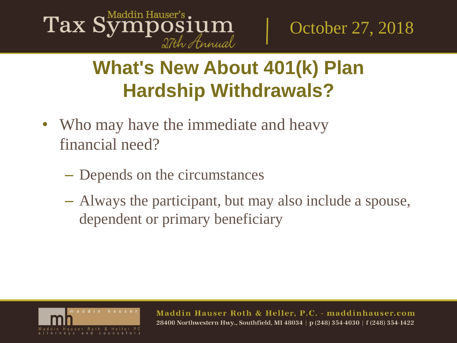

## **What's New About 401(k) Plan Hardship Withdrawals?**

- Who may have the immediate and heavy financial need?
	- Depends on the circumstances
	- Always the participant, but may also include a spouse, dependent or primary beneficiary

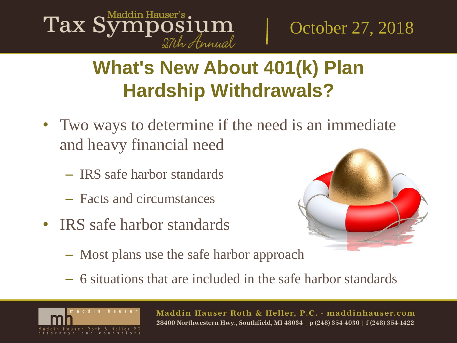

## **What's New About 401(k) Plan Hardship Withdrawals?**

- Two ways to determine if the need is an immediate and heavy financial need
	- IRS safe harbor standards
	- Facts and circumstances
- IRS safe harbor standards



- Most plans use the safe harbor approach
- 6 situations that are included in the safe harbor standards

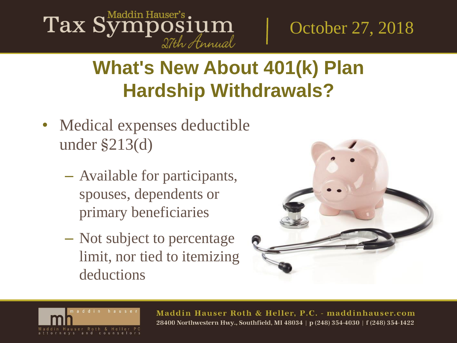

## **What's New About 401(k) Plan Hardship Withdrawals?**

- Medical expenses deductible under §213(d)
	- Available for participants, spouses, dependents or primary beneficiaries
	- Not subject to percentage limit, nor tied to itemizing deductions



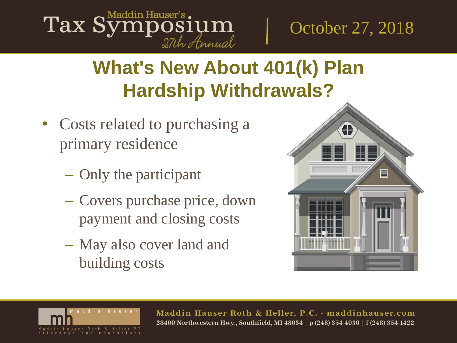#### Maddin Hauser's Tax Symposium 27th Annual

October 27, 2018

## **What's New About 401(k) Plan Hardship Withdrawals?**

- Costs related to purchasing a primary residence
	- Only the participant
	- Covers purchase price, down payment and closing costs
	- May also cover land and building costs



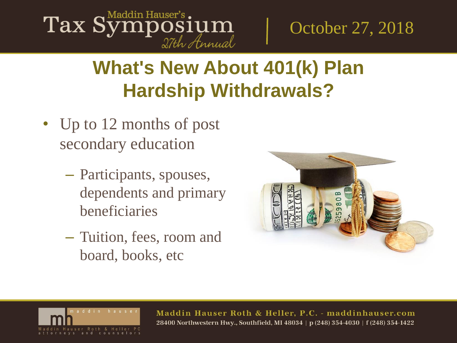#### Maddin Hauser's Tax Symposium 27th Annual

October 27, 2018

## **What's New About 401(k) Plan Hardship Withdrawals?**

- Up to 12 months of post secondary education
	- Participants, spouses, dependents and primary beneficiaries
	- Tuition, fees, room and board, books, etc



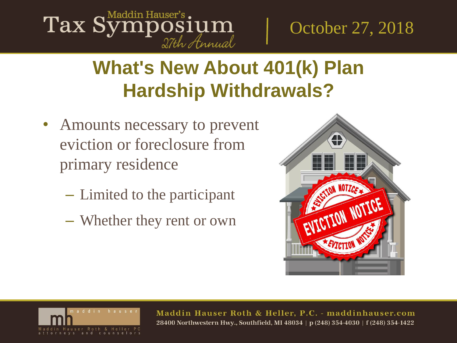# Tax Symposium

October 27, 2018

## **What's New About 401(k) Plan Hardship Withdrawals?**

- Amounts necessary to prevent eviction or foreclosure from primary residence
	- Limited to the participant
	- Whether they rent or own



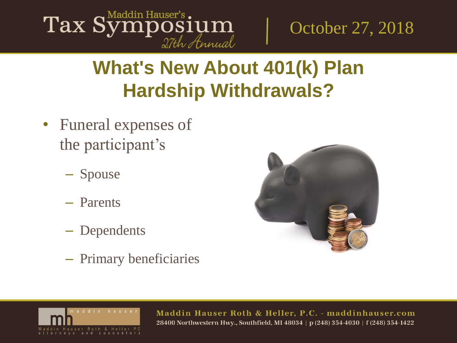

## **What's New About 401(k) Plan Hardship Withdrawals?**

- Funeral expenses of the participant's
	- Spouse
	- Parents
	- Dependents
	- Primary beneficiaries



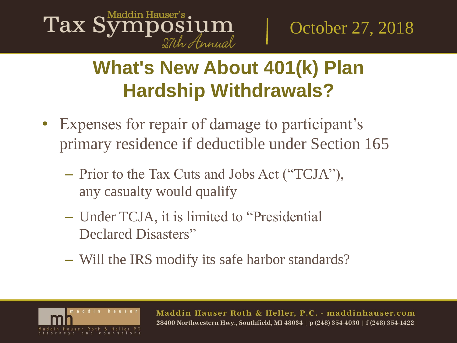### Tax Symposium 27th Annual

October 27, 2018

## **What's New About 401(k) Plan Hardship Withdrawals?**

- Expenses for repair of damage to participant's primary residence if deductible under Section 165
	- Prior to the Tax Cuts and Jobs Act ("TCJA"), any casualty would qualify
	- Under TCJA, it is limited to "Presidential Declared Disasters"
	- Will the IRS modify its safe harbor standards?

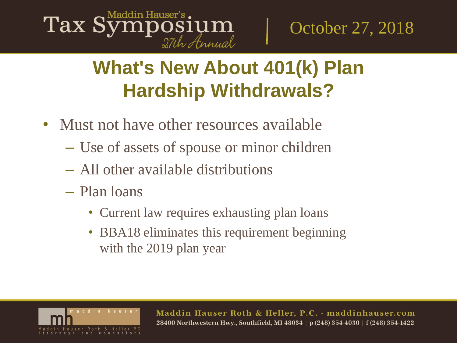### Tax Symposium 27th Annual

October 27, 2018

## **What's New About 401(k) Plan Hardship Withdrawals?**

- Must not have other resources available
	- Use of assets of spouse or minor children
	- All other available distributions
	- Plan loans
		- Current law requires exhausting plan loans
		- BBA18 eliminates this requirement beginning with the 2019 plan year

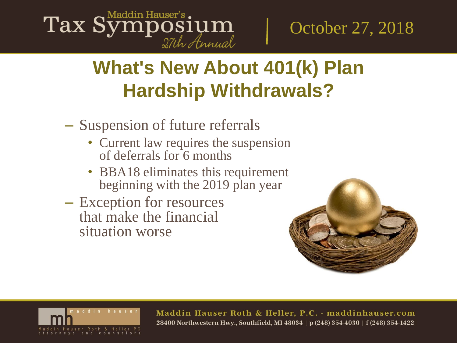# Tax Symposium

October 27, 2018

## **What's New About 401(k) Plan Hardship Withdrawals?**

- Suspension of future referrals
	- Current law requires the suspension of deferrals for 6 months
	- **BBA18** eliminates this requirement beginning with the 2019 plan year
- Exception for resources that make the financial situation worse



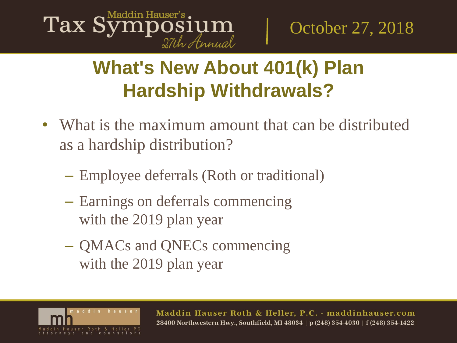

## **What's New About 401(k) Plan Hardship Withdrawals?**

- What is the maximum amount that can be distributed as a hardship distribution?
	- Employee deferrals (Roth or traditional)
	- Earnings on deferrals commencing with the 2019 plan year
	- QMACs and QNECs commencing with the 2019 plan year

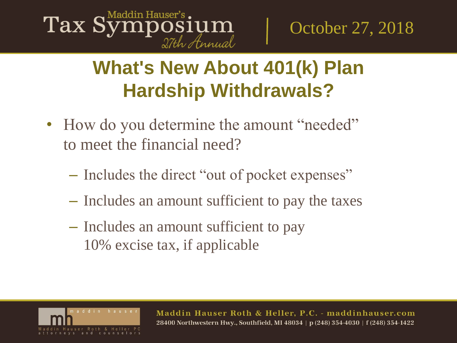

## **What's New About 401(k) Plan Hardship Withdrawals?**

- How do you determine the amount "needed" to meet the financial need?
	- Includes the direct "out of pocket expenses"
	- Includes an amount sufficient to pay the taxes
	- Includes an amount sufficient to pay 10% excise tax, if applicable

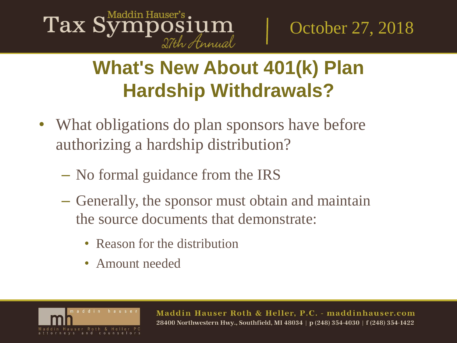

## **What's New About 401(k) Plan Hardship Withdrawals?**

- What obligations do plan sponsors have before authorizing a hardship distribution?
	- No formal guidance from the IRS
	- Generally, the sponsor must obtain and maintain the source documents that demonstrate:
		- Reason for the distribution
		- Amount needed

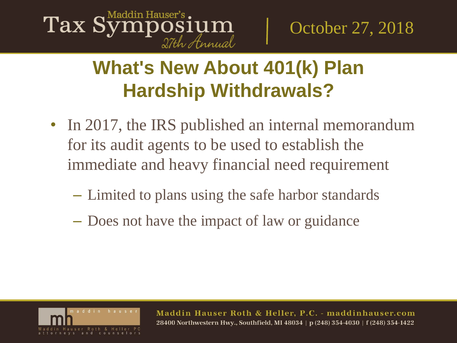### Tax Symposium 27th Annual

October 27, 2018

## **What's New About 401(k) Plan Hardship Withdrawals?**

- In 2017, the IRS published an internal memorandum for its audit agents to be used to establish the immediate and heavy financial need requirement
	- Limited to plans using the safe harbor standards
	- Does not have the impact of law or guidance

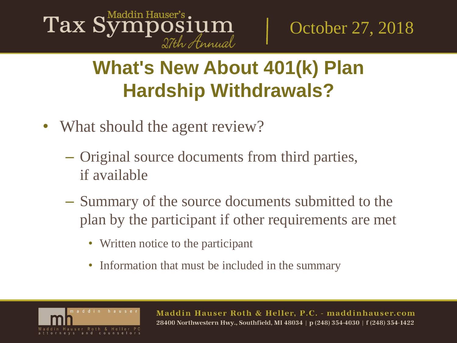

## **What's New About 401(k) Plan Hardship Withdrawals?**

- What should the agent review?
	- Original source documents from third parties, if available
	- Summary of the source documents submitted to the plan by the participant if other requirements are met
		- Written notice to the participant
		- Information that must be included in the summary

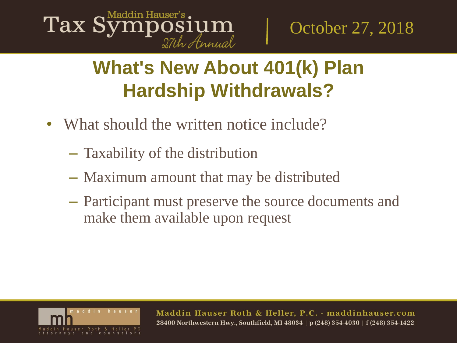

## **What's New About 401(k) Plan Hardship Withdrawals?**

- What should the written notice include?
	- Taxability of the distribution
	- Maximum amount that may be distributed
	- Participant must preserve the source documents and make them available upon request

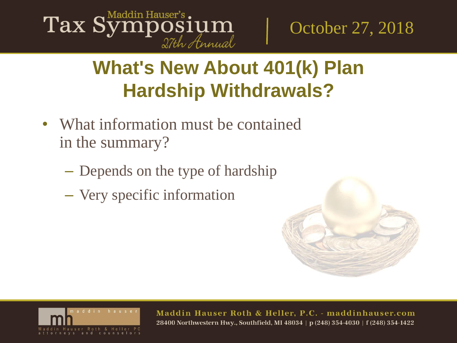

## **What's New About 401(k) Plan Hardship Withdrawals?**

- What information must be contained in the summary?
	- Depends on the type of hardship
	- Very specific information